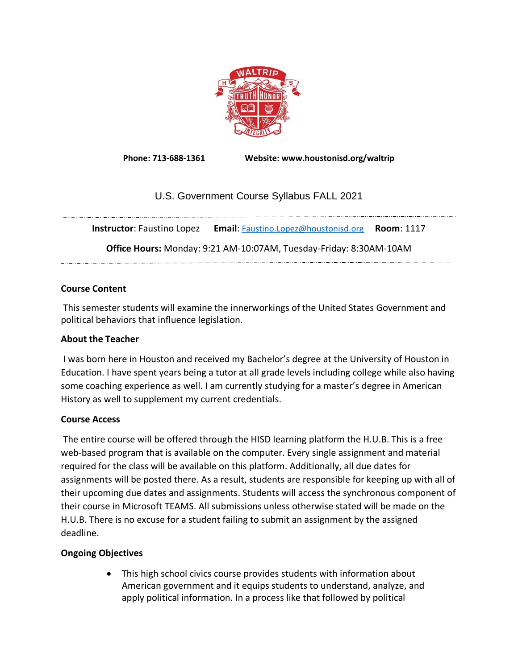

**Phone: 713-688-1361 Website: www.houstonisd.org/waltrip**

# U.S. Government Course Syllabus FALL 2021

**Instructor**: Faustino Lopez **Email**: [Faustino.Lopez@houstonisd.org](mailto:Faustino.Lopez@houstonisd.org) **Room**: 1117

**Office Hours:** Monday: 9:21 AM-10:07AM, Tuesday-Friday: 8:30AM-10AM 

# **Course Content**

This semester students will examine the innerworkings of the United States Government and political behaviors that influence legislation.

# **About the Teacher**

I was born here in Houston and received my Bachelor's degree at the University of Houston in Education. I have spent years being a tutor at all grade levels including college while also having some coaching experience as well. I am currently studying for a master's degree in American History as well to supplement my current credentials.

# **Course Access**

The entire course will be offered through the HISD learning platform the H.U.B. This is a free web-based program that is available on the computer. Every single assignment and material required for the class will be available on this platform. Additionally, all due dates for assignments will be posted there. As a result, students are responsible for keeping up with all of their upcoming due dates and assignments. Students will access the synchronous component of their course in Microsoft TEAMS. All submissions unless otherwise stated will be made on the H.U.B. There is no excuse for a student failing to submit an assignment by the assigned deadline.

# **Ongoing Objectives**

• This high school civics course provides students with information about American government and it equips students to understand, analyze, and apply political information. In a process like that followed by political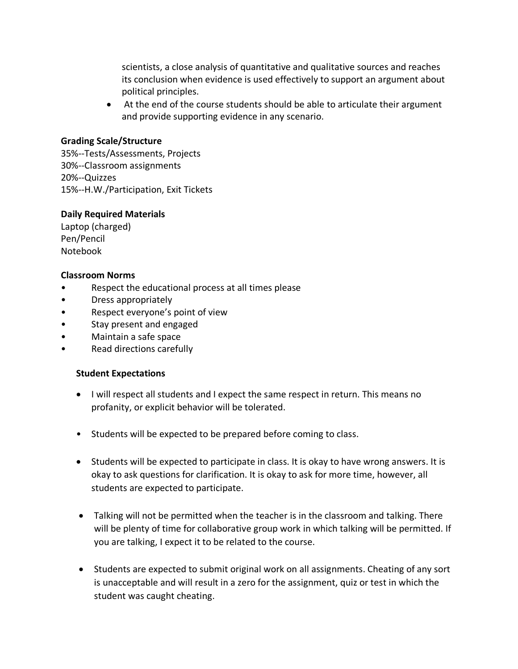scientists, a close analysis of quantitative and qualitative sources and reaches its conclusion when evidence is used effectively to support an argument about political principles.

• At the end of the course students should be able to articulate their argument and provide supporting evidence in any scenario.

#### **Grading Scale/Structure**

35%--Tests/Assessments, Projects 30%--Classroom assignments 20%--Quizzes 15%--H.W./Participation, Exit Tickets

#### **Daily Required Materials**

Laptop (charged) Pen/Pencil Notebook

### **Classroom Norms**

- Respect the educational process at all times please
- Dress appropriately
- Respect everyone's point of view
- Stay present and engaged
- Maintain a safe space
- Read directions carefully

#### **Student Expectations**

- I will respect all students and I expect the same respect in return. This means no profanity, or explicit behavior will be tolerated.
- Students will be expected to be prepared before coming to class.
- Students will be expected to participate in class. It is okay to have wrong answers. It is okay to ask questions for clarification. It is okay to ask for more time, however, all students are expected to participate.
- Talking will not be permitted when the teacher is in the classroom and talking. There will be plenty of time for collaborative group work in which talking will be permitted. If you are talking, I expect it to be related to the course.
- Students are expected to submit original work on all assignments. Cheating of any sort is unacceptable and will result in a zero for the assignment, quiz or test in which the student was caught cheating.